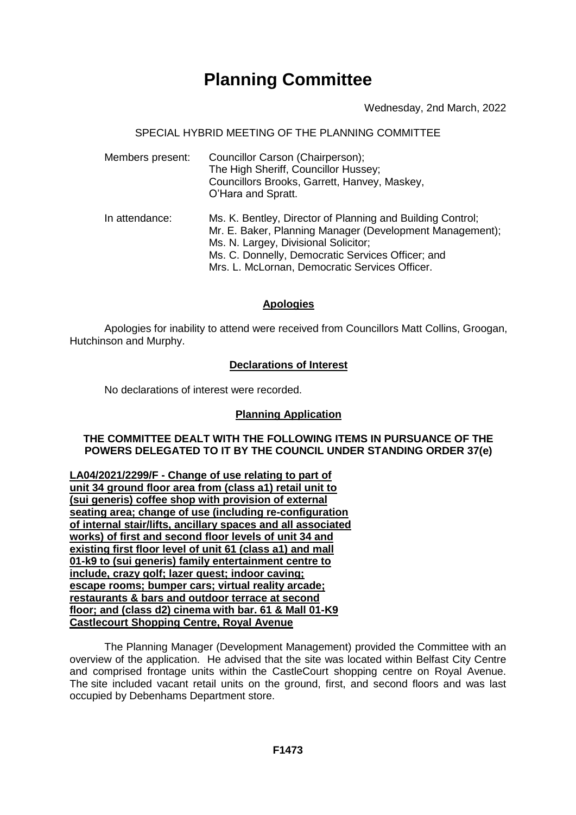# **Planning Committee**

Wednesday, 2nd March, 2022

SPECIAL HYBRID MEETING OF THE PLANNING COMMITTEE

| Members present: | Councillor Carson (Chairperson);<br>The High Sheriff, Councillor Hussey;<br>Councillors Brooks, Garrett, Hanvey, Maskey,<br>O'Hara and Spratt.                                                                                                                        |
|------------------|-----------------------------------------------------------------------------------------------------------------------------------------------------------------------------------------------------------------------------------------------------------------------|
| In attendance:   | Ms. K. Bentley, Director of Planning and Building Control;<br>Mr. E. Baker, Planning Manager (Development Management);<br>Ms. N. Largey, Divisional Solicitor;<br>Ms. C. Donnelly, Democratic Services Officer; and<br>Mrs. L. McLornan, Democratic Services Officer. |

## **Apologies**

Apologies for inability to attend were received from Councillors Matt Collins, Groogan, Hutchinson and Murphy.

### **Declarations of Interest**

No declarations of interest were recorded.

## **Planning Application**

**THE COMMITTEE DEALT WITH THE FOLLOWING ITEMS IN PURSUANCE OF THE POWERS DELEGATED TO IT BY THE COUNCIL UNDER STANDING ORDER 37(e)**

**LA04/2021/2299/F - Change of use relating to part of unit 34 ground floor area from (class a1) retail unit to (sui generis) coffee shop with provision of external seating area; change of use (including re-configuration of internal stair/lifts, ancillary spaces and all associated works) of first and second floor levels of unit 34 and existing first floor level of unit 61 (class a1) and mall 01-k9 to (sui generis) family entertainment centre to include, crazy golf; lazer quest; indoor caving; escape rooms; bumper cars; virtual reality arcade; restaurants & bars and outdoor terrace at second floor; and (class d2) cinema with bar. 61 & Mall 01-K9 Castlecourt Shopping Centre, Royal Avenue**

The Planning Manager (Development Management) provided the Committee with an overview of the application. He advised that the site was located within Belfast City Centre and comprised frontage units within the CastleCourt shopping centre on Royal Avenue. The site included vacant retail units on the ground, first, and second floors and was last occupied by Debenhams Department store.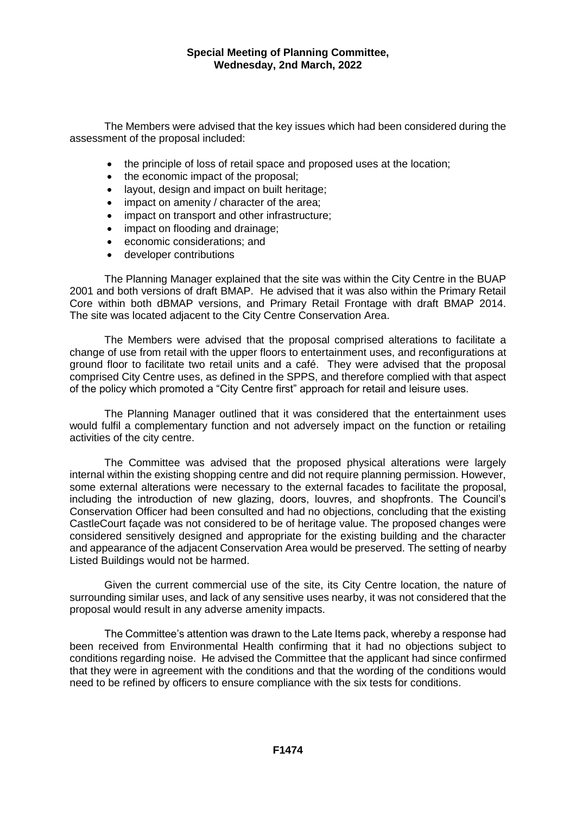#### **Special Meeting of Planning Committee, Wednesday, 2nd March, 2022**

The Members were advised that the key issues which had been considered during the assessment of the proposal included:

- the principle of loss of retail space and proposed uses at the location;
- the economic impact of the proposal;
- layout, design and impact on built heritage;
- impact on amenity / character of the area;
- impact on transport and other infrastructure;
- impact on flooding and drainage;
- economic considerations; and
- developer contributions

The Planning Manager explained that the site was within the City Centre in the BUAP 2001 and both versions of draft BMAP. He advised that it was also within the Primary Retail Core within both dBMAP versions, and Primary Retail Frontage with draft BMAP 2014. The site was located adjacent to the City Centre Conservation Area.

The Members were advised that the proposal comprised alterations to facilitate a change of use from retail with the upper floors to entertainment uses, and reconfigurations at ground floor to facilitate two retail units and a café. They were advised that the proposal comprised City Centre uses, as defined in the SPPS, and therefore complied with that aspect of the policy which promoted a "City Centre first" approach for retail and leisure uses.

The Planning Manager outlined that it was considered that the entertainment uses would fulfil a complementary function and not adversely impact on the function or retailing activities of the city centre.

The Committee was advised that the proposed physical alterations were largely internal within the existing shopping centre and did not require planning permission. However, some external alterations were necessary to the external facades to facilitate the proposal, including the introduction of new glazing, doors, louvres, and shopfronts. The Council's Conservation Officer had been consulted and had no objections, concluding that the existing CastleCourt façade was not considered to be of heritage value. The proposed changes were considered sensitively designed and appropriate for the existing building and the character and appearance of the adjacent Conservation Area would be preserved. The setting of nearby Listed Buildings would not be harmed.

Given the current commercial use of the site, its City Centre location, the nature of surrounding similar uses, and lack of any sensitive uses nearby, it was not considered that the proposal would result in any adverse amenity impacts.

The Committee's attention was drawn to the Late Items pack, whereby a response had been received from Environmental Health confirming that it had no objections subject to conditions regarding noise. He advised the Committee that the applicant had since confirmed that they were in agreement with the conditions and that the wording of the conditions would need to be refined by officers to ensure compliance with the six tests for conditions.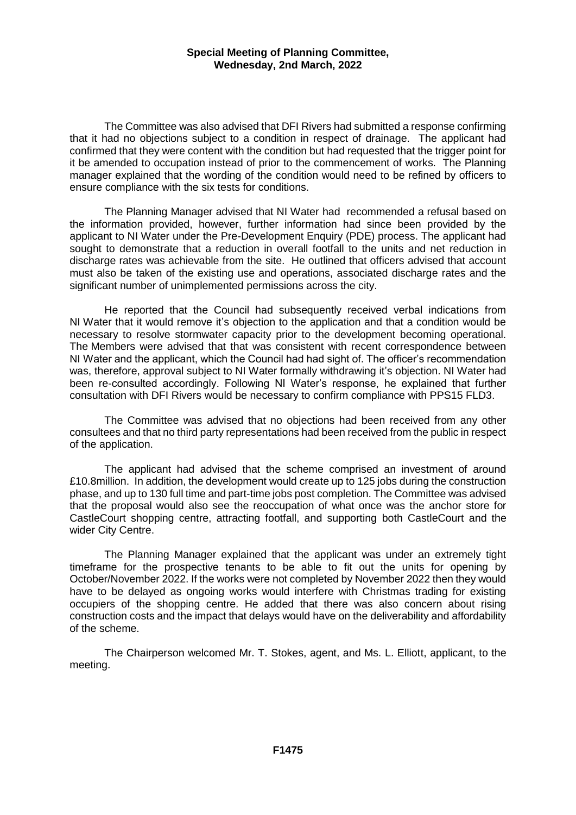#### **Special Meeting of Planning Committee, Wednesday, 2nd March, 2022**

The Committee was also advised that DFI Rivers had submitted a response confirming that it had no objections subject to a condition in respect of drainage. The applicant had confirmed that they were content with the condition but had requested that the trigger point for it be amended to occupation instead of prior to the commencement of works. The Planning manager explained that the wording of the condition would need to be refined by officers to ensure compliance with the six tests for conditions.

The Planning Manager advised that NI Water had recommended a refusal based on the information provided, however, further information had since been provided by the applicant to NI Water under the Pre-Development Enquiry (PDE) process. The applicant had sought to demonstrate that a reduction in overall footfall to the units and net reduction in discharge rates was achievable from the site. He outlined that officers advised that account must also be taken of the existing use and operations, associated discharge rates and the significant number of unimplemented permissions across the city.

He reported that the Council had subsequently received verbal indications from NI Water that it would remove it's objection to the application and that a condition would be necessary to resolve stormwater capacity prior to the development becoming operational. The Members were advised that that was consistent with recent correspondence between NI Water and the applicant, which the Council had had sight of. The officer's recommendation was, therefore, approval subject to NI Water formally withdrawing it's objection. NI Water had been re-consulted accordingly. Following NI Water's response, he explained that further consultation with DFI Rivers would be necessary to confirm compliance with PPS15 FLD3.

The Committee was advised that no objections had been received from any other consultees and that no third party representations had been received from the public in respect of the application.

The applicant had advised that the scheme comprised an investment of around £10.8million. In addition, the development would create up to 125 jobs during the construction phase, and up to 130 full time and part-time jobs post completion. The Committee was advised that the proposal would also see the reoccupation of what once was the anchor store for CastleCourt shopping centre, attracting footfall, and supporting both CastleCourt and the wider City Centre.

The Planning Manager explained that the applicant was under an extremely tight timeframe for the prospective tenants to be able to fit out the units for opening by October/November 2022. If the works were not completed by November 2022 then they would have to be delayed as ongoing works would interfere with Christmas trading for existing occupiers of the shopping centre. He added that there was also concern about rising construction costs and the impact that delays would have on the deliverability and affordability of the scheme.

The Chairperson welcomed Mr. T. Stokes, agent, and Ms. L. Elliott, applicant, to the meeting.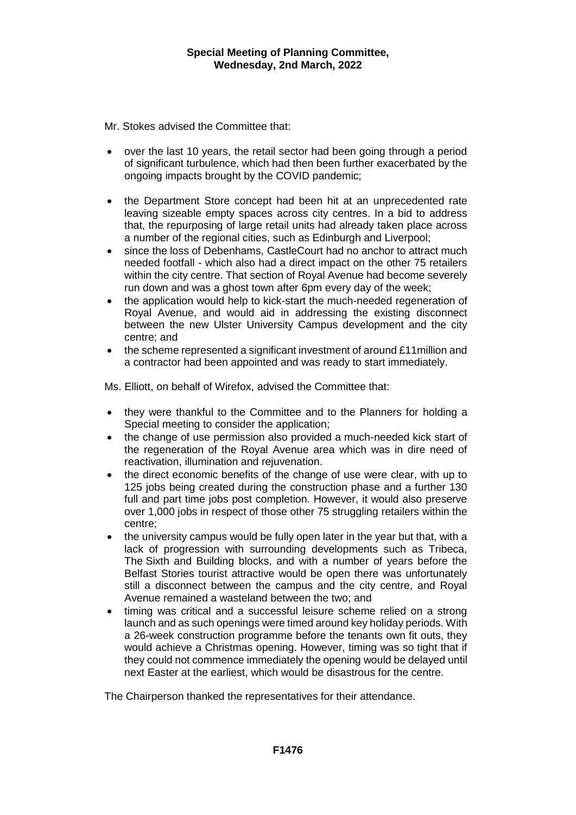Mr. Stokes advised the Committee that:

- over the last 10 years, the retail sector had been going through a period of significant turbulence, which had then been further exacerbated by the ongoing impacts brought by the COVID pandemic;
- the Department Store concept had been hit at an unprecedented rate leaving sizeable empty spaces across city centres. In a bid to address that, the repurposing of large retail units had already taken place across a number of the regional cities, such as Edinburgh and Liverpool;
- since the loss of Debenhams, CastleCourt had no anchor to attract much needed footfall - which also had a direct impact on the other 75 retailers within the city centre. That section of Royal Avenue had become severely run down and was a ghost town after 6pm every day of the week;
- the application would help to kick-start the much-needed regeneration of Royal Avenue, and would aid in addressing the existing disconnect between the new Ulster University Campus development and the city centre; and
- the scheme represented a significant investment of around £11million and a contractor had been appointed and was ready to start immediately.

Ms. Elliott, on behalf of Wirefox, advised the Committee that:

- they were thankful to the Committee and to the Planners for holding a Special meeting to consider the application;
- the change of use permission also provided a much-needed kick start of the regeneration of the Royal Avenue area which was in dire need of reactivation, illumination and rejuvenation.
- the direct economic benefits of the change of use were clear, with up to 125 jobs being created during the construction phase and a further 130 full and part time jobs post completion. However, it would also preserve over 1,000 jobs in respect of those other 75 struggling retailers within the centre;
- the university campus would be fully open later in the year but that, with a lack of progression with surrounding developments such as Tribeca, The Sixth and Building blocks, and with a number of years before the Belfast Stories tourist attractive would be open there was unfortunately still a disconnect between the campus and the city centre, and Royal Avenue remained a wasteland between the two; and
- timing was critical and a successful leisure scheme relied on a strong launch and as such openings were timed around key holiday periods. With a 26-week construction programme before the tenants own fit outs, they would achieve a Christmas opening. However, timing was so tight that if they could not commence immediately the opening would be delayed until next Easter at the earliest, which would be disastrous for the centre.

The Chairperson thanked the representatives for their attendance.